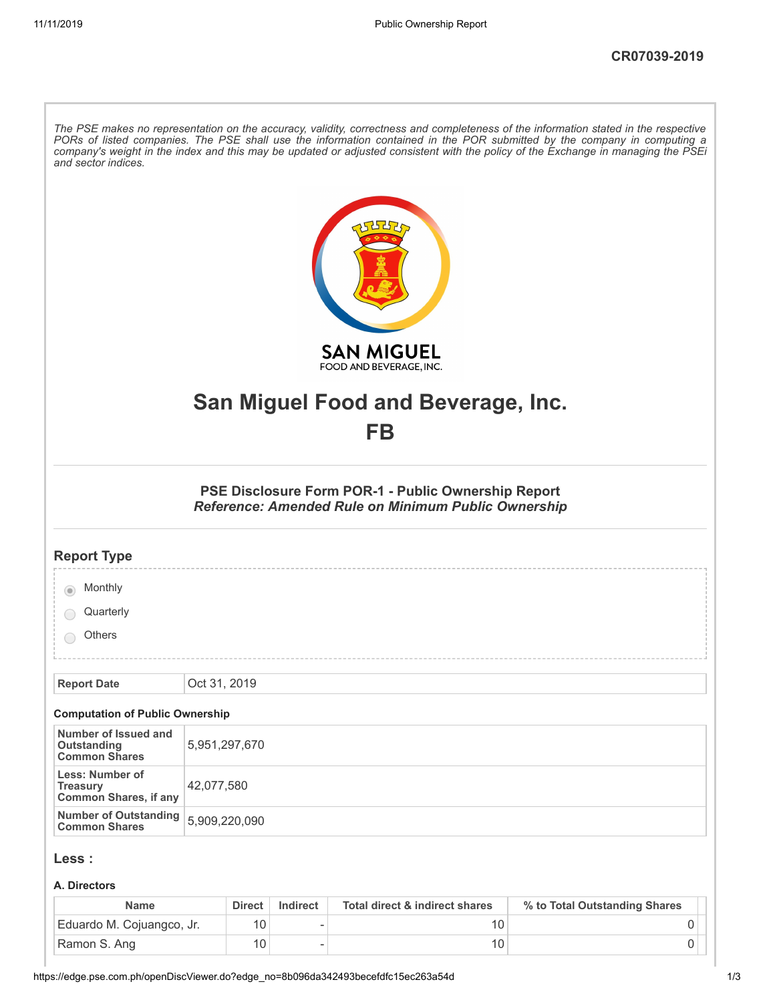| and sector indices.                                                | The PSE makes no representation on the accuracy, validity, correctness and completeness of the information stated in the respective<br>PORs of listed companies. The PSE shall use the information contained in the POR submitted by the company in computing a<br>company's weight in the index and this may be updated or adjusted consistent with the policy of the Exchange in managing the PSEi |
|--------------------------------------------------------------------|------------------------------------------------------------------------------------------------------------------------------------------------------------------------------------------------------------------------------------------------------------------------------------------------------------------------------------------------------------------------------------------------------|
|                                                                    | <b>SAN MIGUEL</b><br>FOOD AND BEVERAGE, INC.                                                                                                                                                                                                                                                                                                                                                         |
|                                                                    | San Miguel Food and Beverage, Inc.                                                                                                                                                                                                                                                                                                                                                                   |
|                                                                    | FB                                                                                                                                                                                                                                                                                                                                                                                                   |
|                                                                    | PSE Disclosure Form POR-1 - Public Ownership Report<br>Reference: Amended Rule on Minimum Public Ownership                                                                                                                                                                                                                                                                                           |
| <b>Report Type</b>                                                 |                                                                                                                                                                                                                                                                                                                                                                                                      |
| Monthly                                                            |                                                                                                                                                                                                                                                                                                                                                                                                      |
| Quarterly                                                          |                                                                                                                                                                                                                                                                                                                                                                                                      |
| Others                                                             |                                                                                                                                                                                                                                                                                                                                                                                                      |
|                                                                    |                                                                                                                                                                                                                                                                                                                                                                                                      |
| <b>Report Date</b>                                                 | Oct 31, 2019                                                                                                                                                                                                                                                                                                                                                                                         |
| <b>Computation of Public Ownership</b><br>Number of Issued and     |                                                                                                                                                                                                                                                                                                                                                                                                      |
| Outstanding<br><b>Common Shares</b>                                | 5,951,297,670                                                                                                                                                                                                                                                                                                                                                                                        |
| Less: Number of<br><b>Treasury</b><br><b>Common Shares, if any</b> | 42,077,580                                                                                                                                                                                                                                                                                                                                                                                           |
| <b>Number of Outstanding</b><br><b>Common Shares</b>               | 5,909,220,090                                                                                                                                                                                                                                                                                                                                                                                        |
| Less :                                                             |                                                                                                                                                                                                                                                                                                                                                                                                      |
| A. Directors                                                       |                                                                                                                                                                                                                                                                                                                                                                                                      |
|                                                                    |                                                                                                                                                                                                                                                                                                                                                                                                      |

| <b>Name</b>               | <b>Direct</b> | Indirect | Total direct & indirect shares | % to Total Outstanding Shares |
|---------------------------|---------------|----------|--------------------------------|-------------------------------|
| Eduardo M. Cojuangco, Jr. |               |          |                                |                               |
| Ramon S. Ang              |               |          |                                |                               |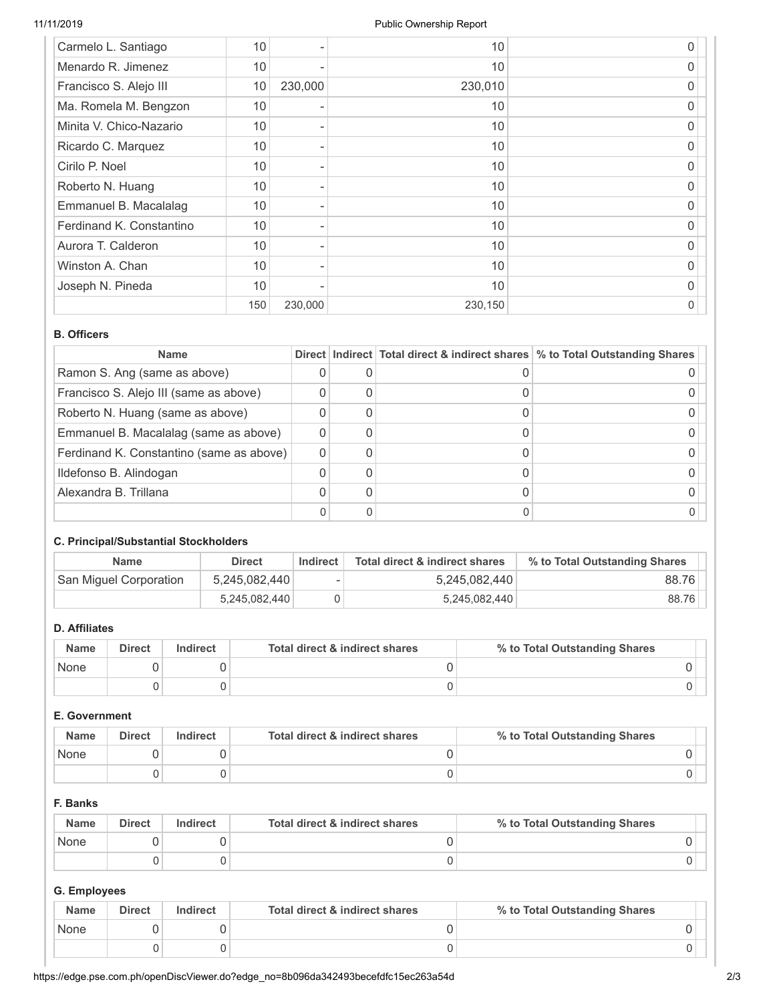| Carmelo L. Santiago      | 10  |         | 10      | 0 |
|--------------------------|-----|---------|---------|---|
| Menardo R. Jimenez       | 10  |         | 10      | 0 |
| Francisco S. Alejo III   | 10  | 230,000 | 230,010 | O |
| Ma. Romela M. Bengzon    | 10  |         | 10      | O |
| Minita V. Chico-Nazario  | 10  |         | 10      | 0 |
| Ricardo C. Marquez       | 10  |         | 10      | 0 |
| Cirilo P. Noel           | 10  |         | 10      | O |
| Roberto N. Huang         | 10  |         | 10      | 0 |
| Emmanuel B. Macalalag    | 10  |         | 10      | 0 |
| Ferdinand K. Constantino | 10  |         | 10      | O |
| Aurora T. Calderon       | 10  |         | 10      | 0 |
| Winston A. Chan          | 10  |         | 10      | 0 |
| Joseph N. Pineda         | 10  |         | 10      | 0 |
|                          | 150 | 230,000 | 230,150 | 0 |

### **B. Officers**

| <b>Name</b>                              |  | Direct   Indirect   Total direct & indirect shares   % to Total Outstanding Shares |
|------------------------------------------|--|------------------------------------------------------------------------------------|
| Ramon S. Ang (same as above)             |  |                                                                                    |
| Francisco S. Alejo III (same as above)   |  |                                                                                    |
| Roberto N. Huang (same as above)         |  |                                                                                    |
| Emmanuel B. Macalalag (same as above)    |  |                                                                                    |
| Ferdinand K. Constantino (same as above) |  |                                                                                    |
| Ildefonso B. Alindogan                   |  |                                                                                    |
| Alexandra B. Trillana                    |  |                                                                                    |
|                                          |  |                                                                                    |

### **C. Principal/Substantial Stockholders**

| <b>Name</b>            | <b>Direct</b> | Indirect | Total direct & indirect shares | % to Total Outstanding Shares |
|------------------------|---------------|----------|--------------------------------|-------------------------------|
| San Miguel Corporation | 5,245,082,440 | ۰        | 5,245,082,440                  | 88.76                         |
|                        | 5,245,082,440 |          | 5,245,082,440                  | 88.76                         |

## **D. Affiliates**

| <b>Name</b> | <b>Direct</b> | Indirect | Total direct & indirect shares | % to Total Outstanding Shares |
|-------------|---------------|----------|--------------------------------|-------------------------------|
| None        |               |          |                                |                               |
|             |               |          |                                |                               |

### **E. Government**

| <b>Name</b> | <b>Direct</b> | Indirect | Total direct & indirect shares | % to Total Outstanding Shares |
|-------------|---------------|----------|--------------------------------|-------------------------------|
| None        |               |          |                                |                               |
|             |               |          |                                |                               |

## **F. Banks**

| <b>Name</b> | <b>Direct</b> | Indirect | Total direct & indirect shares | % to Total Outstanding Shares |
|-------------|---------------|----------|--------------------------------|-------------------------------|
| None        |               |          |                                |                               |
|             |               |          |                                |                               |

## **G. Employees**

| <b>Name</b> | <b>Direct</b> | Indirect | Total direct & indirect shares | % to Total Outstanding Shares |
|-------------|---------------|----------|--------------------------------|-------------------------------|
| None        |               |          |                                |                               |
|             |               |          |                                |                               |